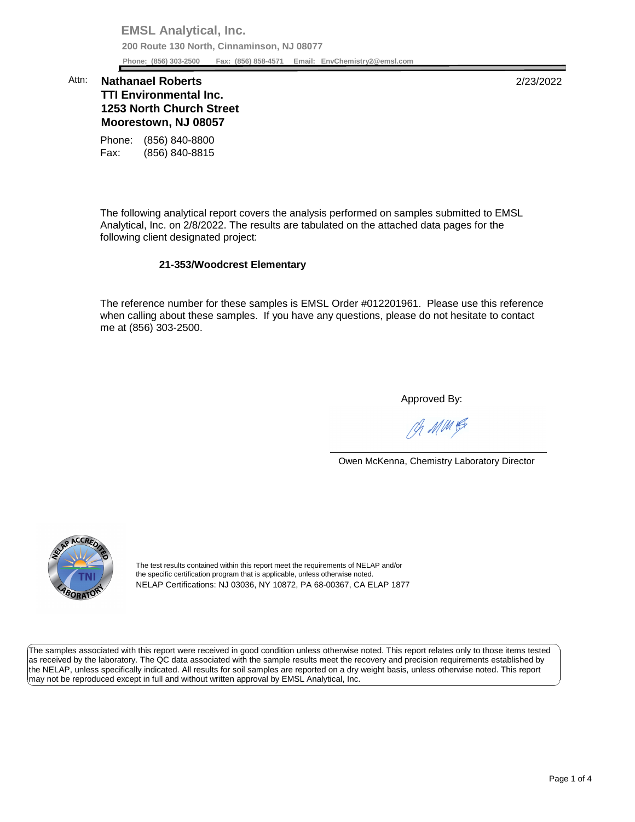**EMSL Analytical, Inc. 200 Route 130 North, Cinnaminson, NJ 08077 Phone: (856) 303-2500 Fax: (856) 858-4571 Email: [EnvChemistry2@emsl.com](mailto:EnvChemistry2@emsl.com)**  Phone: (856) 303-2500

## **Moorestown, NJ 08057**  Attn: **Nathanael Roberts** 2/23/2022 **TTI Environmental Inc. 1253 North Church Street**

Phone: (856) 840-8800 Fax: (856) 840-8815

 The following analytical report covers the analysis performed on samples submitted to EMSL Analytical, Inc. on 2/8/2022. The results are tabulated on the attached data pages for the following client designated project:

## **21-353/Woodcrest Elementary**

 The reference number for these samples is EMSL Order #012201961. Please use this reference when calling about these samples. If you have any questions, please do not hesitate to contact me at (856) 303-2500.

Approved By:

Ph MMH

Owen McKenna, Chemistry Laboratory Director



The test results contained within this report meet the requirements of NELAP and/or the specific certification program that is applicable, unless otherwise noted. NELAP Certifications: NJ 03036, NY 10872, PA 68-00367, CA ELAP 1877

 The samples associated with this report were received in good condition unless otherwise noted. This report relates only to those items tested as received by the laboratory. The QC data associated with the sample results meet the recovery and precision requirements established by the NELAP, unless specifically indicated. All results for soil samples are reported on a dry weight basis, unless otherwise noted. This report may not be reproduced except in full and without written approval by EMSL Analytical, Inc.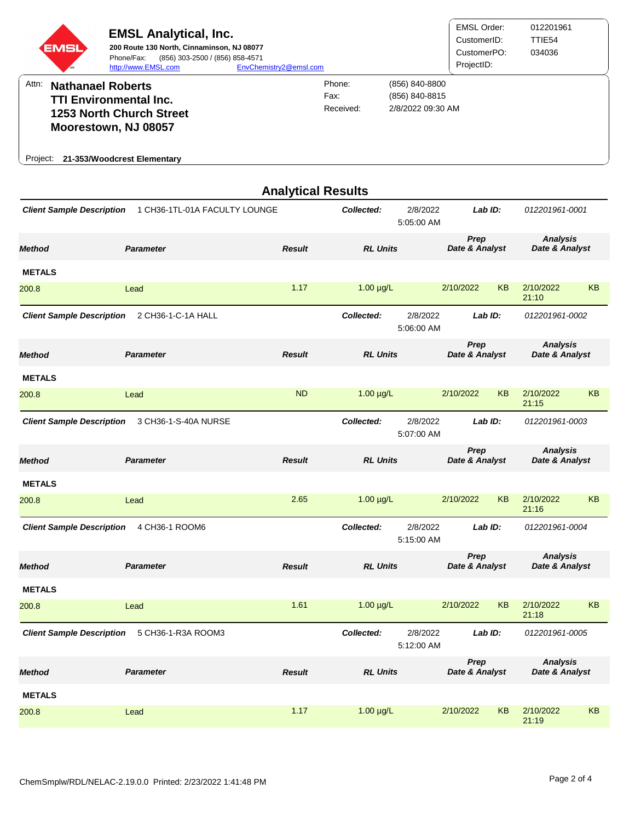|       | <b>EMSL</b>              | <b>EMSL Analytical, Inc.</b><br>200 Route 130 North, Cinnaminson, NJ 08077<br>(856) 303-2500 / (856) 858-4571<br>Phone/Fax:<br>http://www.EMSL.com | EnvChemistry2@emsl.com |                             |                                                       | EMSL Order:<br>CustomerID:<br>CustomerPO:<br>ProjectID: | 012201961<br>TTIE54<br>034036 |
|-------|--------------------------|----------------------------------------------------------------------------------------------------------------------------------------------------|------------------------|-----------------------------|-------------------------------------------------------|---------------------------------------------------------|-------------------------------|
| Attn: | <b>Nathanael Roberts</b> | <b>TTI Environmental Inc.</b><br>1253 North Church Street<br>Moorestown, NJ 08057                                                                  |                        | Phone:<br>Fax:<br>Received: | (856) 840-8800<br>(856) 840-8815<br>2/8/2022 09:30 AM |                                                         |                               |
|       |                          | Project: 21-353/Woodcrest Elementary                                                                                                               |                        |                             |                                                       |                                                         |                               |

|                                  |                               | <b>Analytical Results</b> |                 |                        |                        |           |                                   |           |
|----------------------------------|-------------------------------|---------------------------|-----------------|------------------------|------------------------|-----------|-----------------------------------|-----------|
| <b>Client Sample Description</b> | 1 CH36-1TL-01A FACULTY LOUNGE |                           | Collected:      | 2/8/2022<br>5:05:00 AM |                        | Lab ID:   | 012201961-0001                    |           |
| <b>Method</b>                    | <b>Parameter</b>              | <b>Result</b>             | <b>RL Units</b> |                        | Prep<br>Date & Analyst |           | <b>Analysis</b><br>Date & Analyst |           |
| <b>METALS</b>                    |                               |                           |                 |                        |                        |           |                                   |           |
| 200.8                            | Lead                          | 1.17                      | $1.00 \mu g/L$  |                        | 2/10/2022              | <b>KB</b> | 2/10/2022<br>21:10                | <b>KB</b> |
| <b>Client Sample Description</b> | 2 CH36-1-C-1A HALL            |                           | Collected:      | 2/8/2022<br>5:06:00 AM |                        | Lab ID:   | 012201961-0002                    |           |
| <b>Method</b>                    | <b>Parameter</b>              | <b>Result</b>             | <b>RL Units</b> |                        | Prep<br>Date & Analyst |           | <b>Analysis</b><br>Date & Analyst |           |
| <b>METALS</b>                    |                               |                           |                 |                        |                        |           |                                   |           |
| 200.8                            | Lead                          | <b>ND</b>                 | $1.00 \mu g/L$  |                        | 2/10/2022              | <b>KB</b> | 2/10/2022<br>21:15                | <b>KB</b> |
| <b>Client Sample Description</b> | 3 CH36-1-S-40A NURSE          |                           | Collected:      | 2/8/2022<br>5:07:00 AM |                        | Lab ID:   | 012201961-0003                    |           |
| <b>Method</b>                    | <b>Parameter</b>              | <b>Result</b>             | <b>RL Units</b> |                        | Prep<br>Date & Analyst |           | <b>Analysis</b><br>Date & Analyst |           |
| <b>METALS</b>                    |                               |                           |                 |                        |                        |           |                                   |           |
| 200.8                            | Lead                          | 2.65                      | $1.00 \mu g/L$  |                        | 2/10/2022              | <b>KB</b> | 2/10/2022<br>21:16                | <b>KB</b> |
| <b>Client Sample Description</b> | 4 CH36-1 ROOM6                |                           | Collected:      | 2/8/2022<br>5:15:00 AM |                        | Lab ID:   | 012201961-0004                    |           |
| <b>Method</b>                    | <b>Parameter</b>              | <b>Result</b>             | <b>RL Units</b> |                        | Prep<br>Date & Analyst |           | <b>Analysis</b><br>Date & Analyst |           |
| <b>METALS</b>                    |                               |                           |                 |                        |                        |           |                                   |           |
| 200.8                            | Lead                          | 1.61                      | $1.00 \mu g/L$  |                        | 2/10/2022              | <b>KB</b> | 2/10/2022<br>21:18                | <b>KB</b> |
| <b>Client Sample Description</b> | 5 CH36-1-R3A ROOM3            |                           | Collected:      | 2/8/2022<br>5:12:00 AM |                        | Lab ID:   | 012201961-0005                    |           |
| <b>Method</b>                    | <b>Parameter</b>              | <b>Result</b>             | <b>RL Units</b> |                        | Prep<br>Date & Analyst |           | <b>Analysis</b><br>Date & Analyst |           |
| <b>METALS</b>                    |                               |                           |                 |                        |                        |           |                                   |           |
| 200.8                            | Lead                          | 1.17                      | $1.00 \mu g/L$  |                        | 2/10/2022              | KB        | 2/10/2022<br>21:19                | <b>KB</b> |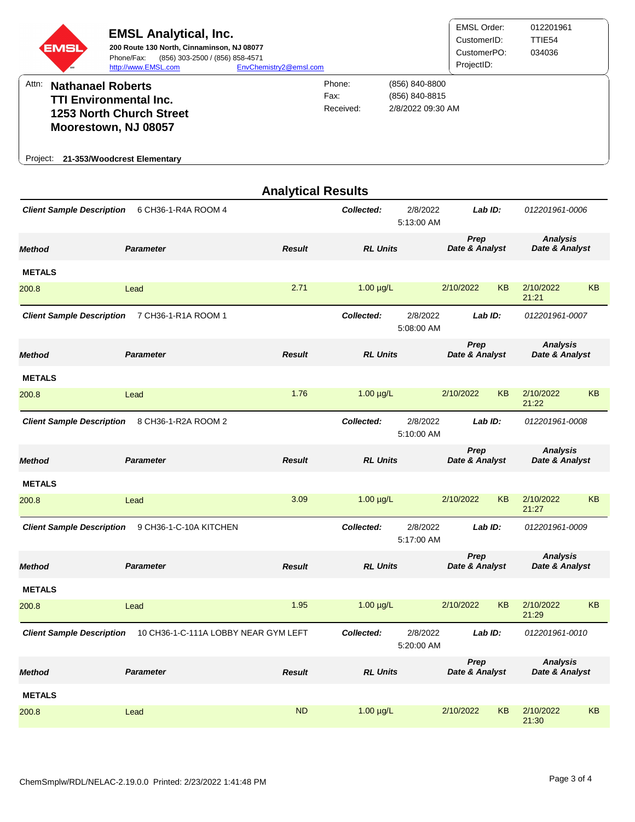| <b>EMSL Analytical, Inc.</b><br>EMSL)<br>200 Route 130 North, Cinnaminson, NJ 08077<br>(856) 303-2500 / (856) 858-4571<br>Phone/Fax:<br>EnvChemistry2@emsl.com<br>http://www.EMSL.com |                          |                                                                                          |  |                             |                                                       | EMSL Order:<br>CustomerID:<br>CustomerPO:<br>ProjectID: | 012201961<br>TTIE54<br>034036 |
|---------------------------------------------------------------------------------------------------------------------------------------------------------------------------------------|--------------------------|------------------------------------------------------------------------------------------|--|-----------------------------|-------------------------------------------------------|---------------------------------------------------------|-------------------------------|
| Attn:                                                                                                                                                                                 | <b>Nathanael Roberts</b> | <b>TTI Environmental Inc.</b><br><b>1253 North Church Street</b><br>Moorestown, NJ 08057 |  | Phone:<br>Fax:<br>Received: | (856) 840-8800<br>(856) 840-8815<br>2/8/2022 09:30 AM |                                                         |                               |
| Project:                                                                                                                                                                              |                          | 21-353/Woodcrest Elementary                                                              |  |                             |                                                       |                                                         |                               |

|                                  |                                      | <b>Analytical Results</b> |                 |                        |                        |           |                                   |           |
|----------------------------------|--------------------------------------|---------------------------|-----------------|------------------------|------------------------|-----------|-----------------------------------|-----------|
| <b>Client Sample Description</b> | 6 CH36-1-R4A ROOM 4                  |                           | Collected:      | 2/8/2022<br>5:13:00 AM | Lab ID:                |           | 012201961-0006                    |           |
| <b>Method</b>                    | <b>Parameter</b>                     | <b>Result</b>             | <b>RL Units</b> |                        | Prep<br>Date & Analyst |           | <b>Analysis</b><br>Date & Analyst |           |
| <b>METALS</b>                    |                                      |                           |                 |                        |                        |           |                                   |           |
| 200.8                            | Lead                                 | 2.71                      | $1.00 \mu g/L$  |                        | 2/10/2022              | <b>KB</b> | 2/10/2022<br>21:21                | <b>KB</b> |
| <b>Client Sample Description</b> | 7 CH36-1-R1A ROOM 1                  |                           | Collected:      | 2/8/2022<br>5:08:00 AM | Lab ID:                |           | 012201961-0007                    |           |
| Method                           | <b>Parameter</b>                     | <b>Result</b>             | <b>RL Units</b> |                        | Prep<br>Date & Analyst |           | <b>Analysis</b><br>Date & Analyst |           |
| <b>METALS</b>                    |                                      |                           |                 |                        |                        |           |                                   |           |
| 200.8                            | Lead                                 | 1.76                      | $1.00 \mu g/L$  |                        | 2/10/2022              | <b>KB</b> | 2/10/2022<br>21:22                | <b>KB</b> |
| <b>Client Sample Description</b> | 8 CH36-1-R2A ROOM 2                  |                           | Collected:      | 2/8/2022<br>5:10:00 AM | Lab ID:                |           | 012201961-0008                    |           |
| <b>Method</b>                    | <b>Parameter</b>                     | <b>Result</b>             | <b>RL Units</b> |                        | Prep<br>Date & Analyst |           | <b>Analysis</b><br>Date & Analyst |           |
| <b>METALS</b>                    |                                      |                           |                 |                        |                        |           |                                   |           |
| 200.8                            | Lead                                 | 3.09                      | $1.00 \mu g/L$  |                        | 2/10/2022              | <b>KB</b> | 2/10/2022<br>21:27                | <b>KB</b> |
| <b>Client Sample Description</b> | 9 CH36-1-C-10A KITCHEN               |                           | Collected:      | 2/8/2022<br>5:17:00 AM | Lab ID:                |           | 012201961-0009                    |           |
| Method                           | <b>Parameter</b>                     | <b>Result</b>             | <b>RL Units</b> |                        | Prep<br>Date & Analyst |           | <b>Analysis</b><br>Date & Analyst |           |
| <b>METALS</b>                    |                                      |                           |                 |                        |                        |           |                                   |           |
| 200.8                            | Lead                                 | 1.95                      | $1.00 \mu g/L$  |                        | 2/10/2022              | <b>KB</b> | 2/10/2022<br>21:29                | <b>KB</b> |
| <b>Client Sample Description</b> | 10 CH36-1-C-111A LOBBY NEAR GYM LEFT |                           | Collected:      | 2/8/2022<br>5:20:00 AM | Lab ID:                |           | 012201961-0010                    |           |
| <b>Method</b>                    | <b>Parameter</b>                     | <b>Result</b>             | <b>RL Units</b> |                        | Prep<br>Date & Analyst |           | <b>Analysis</b><br>Date & Analyst |           |
| <b>METALS</b>                    |                                      |                           |                 |                        |                        |           |                                   |           |
| 200.8                            | Lead                                 | <b>ND</b>                 | $1.00 \mu g/L$  |                        | 2/10/2022              | KB        | 2/10/2022<br>21:30                | KB        |